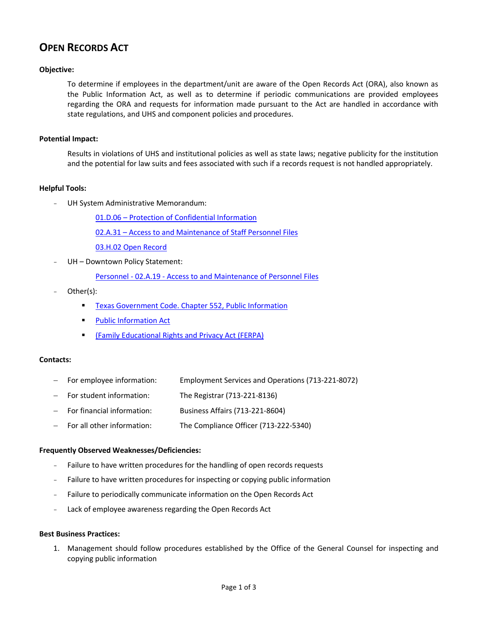# **OPEN RECORDS ACT**

## **Objective:**

To determine if employees in the department/unit are aware of the Open Records Act (ORA), also known as the Public Information Act, as well as to determine if periodic communications are provided employees regarding the ORA and requests for information made pursuant to the Act are handled in accordance with state regulations, and UHS and component policies and procedures.

#### **Potential Impact:**

Results in violations of UHS and institutional policies as well as state laws; negative publicity for the institution and the potential for law suits and fees associated with such if a records request is not handled appropriately.

## **Helpful Tools:**

UH System Administrative Memorandum:

01.D.06 – [Protection of Confidential Information](http://www.uhsa.uh.edu/sam/1GenAdmin/1D6.pdf)

02.A.31 – [Access to and Maintenance of](http://www.uhsa.uh.edu/sam/2HumanResources/2A31.pdf) Staff Personnel Files

[03.H.02 Open Record](http://www.uh.edu/af/universityservices/policies/sam/3FicsalAffairs/3H2.pdf)

UH - Downtown Policy Statement:

Personnel - 02.A.19 - [Access to and Maintenance of Personnel Files](http://www.uhd.edu/about/hr/PS02A19.pdf)

- Other(s):
	- [Texas Government Code. Chapter 552, Public Information](http://codes.lp.findlaw.com/txstatutes/GV/5/A/552)
	- **Public Information Act**
	- [\(Family Educational Rights and Privacy Act \(FERPA\)](http://www.ed.gov/policy/gen/guid/fpco/ferpa/index.html)

#### **Contacts:**

- For employee information: Employment Services and Operations (713-221-8072)
- For student information: The Registrar (713-221-8136)
- For financial information: Business Affairs (713-221-8604)
- For all other information: The Compliance Officer (713-222-5340)

#### **Frequently Observed Weaknesses/Deficiencies:**

- Failure to have written procedures for the handling of open records requests
- Failure to have written procedures for inspecting or copying public information
- Failure to periodically communicate information on the Open Records Act
- Lack of employee awareness regarding the Open Records Act

#### **Best Business Practices:**

1. Management should follow procedures established by the Office of the General Counsel for inspecting and copying public information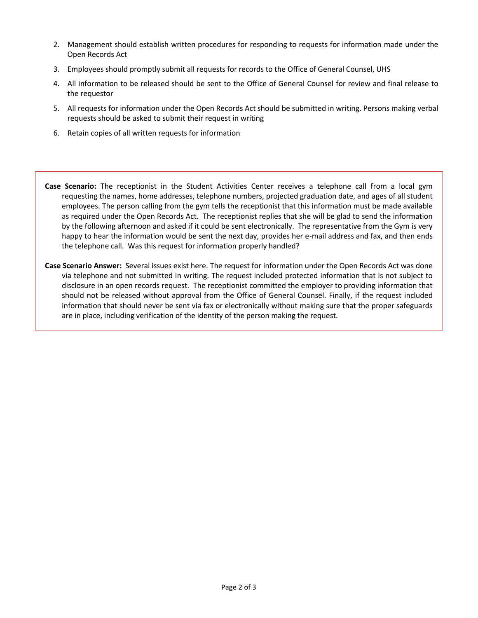- 2. Management should establish written procedures for responding to requests for information made under the Open Records Act
- 3. Employees should promptly submit all requests for records to the Office of General Counsel, UHS
- 4. All information to be released should be sent to the Office of General Counsel for review and final release to the requestor
- 5. All requests for information under the Open Records Act should be submitted in writing. Persons making verbal requests should be asked to submit their request in writing
- 6. Retain copies of all written requests for information

**Case Scenario:** The receptionist in the Student Activities Center receives a telephone call from a local gym requesting the names, home addresses, telephone numbers, projected graduation date, and ages of all student employees. The person calling from the gym tells the receptionist that this information must be made available as required under the Open Records Act. The receptionist replies that she will be glad to send the information by the following afternoon and asked if it could be sent electronically. The representative from the Gym is very happy to hear the information would be sent the next day, provides her e-mail address and fax, and then ends the telephone call. Was this request for information properly handled?

**Case Scenario Answer:** Several issues exist here. The request for information under the Open Records Act was done via telephone and not submitted in writing. The request included protected information that is not subject to disclosure in an open records request. The receptionist committed the employer to providing information that should not be released without approval from the Office of General Counsel. Finally, if the request included information that should never be sent via fax or electronically without making sure that the proper safeguards are in place, including verification of the identity of the person making the request.